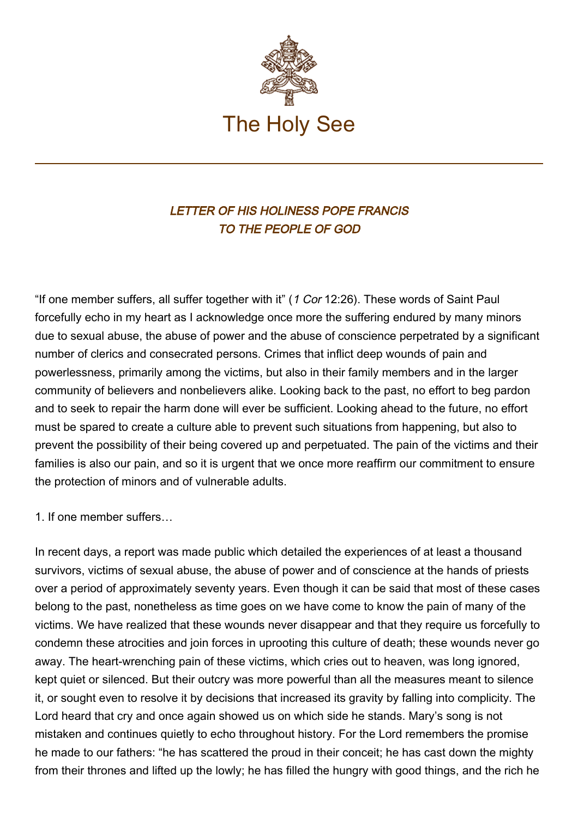

## LETTER OF HIS HOLINESS POPE FRANCIS TO THE PEOPLE OF GOD

"If one member suffers, all suffer together with it" (1 Cor 12:26). These words of Saint Paul forcefully echo in my heart as I acknowledge once more the suffering endured by many minors due to sexual abuse, the abuse of power and the abuse of conscience perpetrated by a significant number of clerics and consecrated persons. Crimes that inflict deep wounds of pain and powerlessness, primarily among the victims, but also in their family members and in the larger community of believers and nonbelievers alike. Looking back to the past, no effort to beg pardon and to seek to repair the harm done will ever be sufficient. Looking ahead to the future, no effort must be spared to create a culture able to prevent such situations from happening, but also to prevent the possibility of their being covered up and perpetuated. The pain of the victims and their families is also our pain, and so it is urgent that we once more reaffirm our commitment to ensure the protection of minors and of vulnerable adults.

## 1. If one member suffers…

In recent days, a report was made public which detailed the experiences of at least a thousand survivors, victims of sexual abuse, the abuse of power and of conscience at the hands of priests over a period of approximately seventy years. Even though it can be said that most of these cases belong to the past, nonetheless as time goes on we have come to know the pain of many of the victims. We have realized that these wounds never disappear and that they require us forcefully to condemn these atrocities and join forces in uprooting this culture of death; these wounds never go away. The heart-wrenching pain of these victims, which cries out to heaven, was long ignored, kept quiet or silenced. But their outcry was more powerful than all the measures meant to silence it, or sought even to resolve it by decisions that increased its gravity by falling into complicity. The Lord heard that cry and once again showed us on which side he stands. Mary's song is not mistaken and continues quietly to echo throughout history. For the Lord remembers the promise he made to our fathers: "he has scattered the proud in their conceit; he has cast down the mighty from their thrones and lifted up the lowly; he has filled the hungry with good things, and the rich he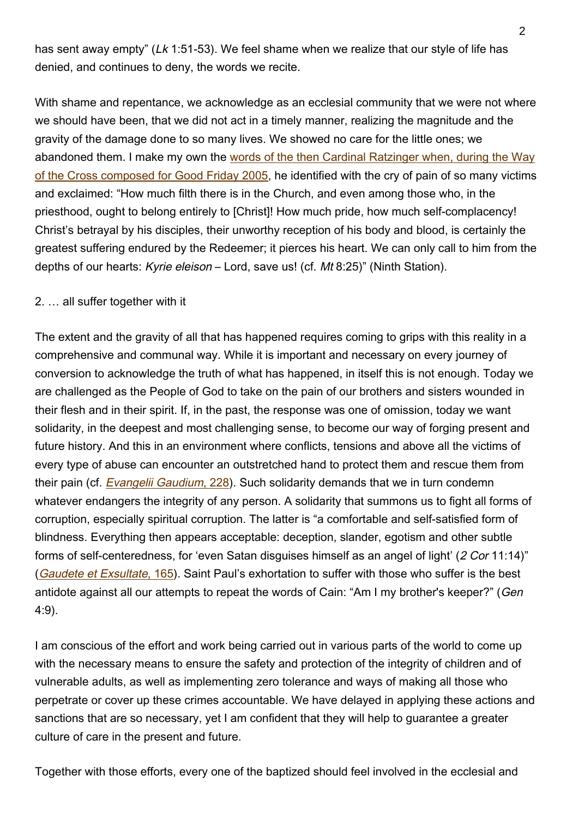has sent away empty" (Lk 1:51-53). We feel shame when we realize that our style of life has denied, and continues to deny, the words we recite.

With shame and repentance, we acknowledge as an ecclesial community that we were not where we should have been, that we did not act in a timely manner, realizing the magnitude and the gravity of the damage done to so many lives. We showed no care for the little ones; we abandoned them. I make my own the [words of the then Cardinal Ratzinger when, during the Way](http://www.vatican.va/news_services/liturgy/2005/via_crucis/en/station_09.html) [of the Cross composed for Good Friday 2005,](http://www.vatican.va/news_services/liturgy/2005/via_crucis/en/station_09.html) he identified with the cry of pain of so many victims and exclaimed: "How much filth there is in the Church, and even among those who, in the priesthood, ought to belong entirely to [Christ]! How much pride, how much self-complacency! Christ's betrayal by his disciples, their unworthy reception of his body and blood, is certainly the greatest suffering endured by the Redeemer; it pierces his heart. We can only call to him from the depths of our hearts: Kyrie eleison – Lord, save us! (cf. Mt 8:25)" (Ninth Station).

## 2. … all suffer together with it

The extent and the gravity of all that has happened requires coming to grips with this reality in a comprehensive and communal way. While it is important and necessary on every journey of conversion to acknowledge the truth of what has happened, in itself this is not enough. Today we are challenged as the People of God to take on the pain of our brothers and sisters wounded in their flesh and in their spirit. If, in the past, the response was one of omission, today we want solidarity, in the deepest and most challenging sense, to become our way of forging present and future history. And this in an environment where conflicts, tensions and above all the victims of every type of abuse can encounter an outstretched hand to protect them and rescue them from their pain (cf. *Evangelii Gaudium*[, 228\)](http://w2.vatican.va/content/francesco/en/apost_exhortations/documents/papa-francesco_esortazione-ap_20131124_evangelii-gaudium.html#Unity_prevails_over_conflict). Such solidarity demands that we in turn condemn whatever endangers the integrity of any person. A solidarity that summons us to fight all forms of corruption, especially spiritual corruption. The latter is "a comfortable and self-satisfied form of blindness. Everything then appears acceptable: deception, slander, egotism and other subtle forms of self-centeredness, for 'even Satan disguises himself as an angel of light' (2 Cor 11:14)" (Gaudete et Exsultate[, 165\)](http://w2.vatican.va/content/francesco/en/apost_exhortations/documents/papa-francesco_esortazione-ap_20180319_gaudete-et-exsultate.html#Spiritual_corruption). Saint Paul's exhortation to suffer with those who suffer is the best antidote against all our attempts to repeat the words of Cain: "Am I my brother's keeper?" (Gen 4:9).

I am conscious of the effort and work being carried out in various parts of the world to come up with the necessary means to ensure the safety and protection of the integrity of children and of vulnerable adults, as well as implementing zero tolerance and ways of making all those who perpetrate or cover up these crimes accountable. We have delayed in applying these actions and sanctions that are so necessary, yet I am confident that they will help to guarantee a greater culture of care in the present and future.

Together with those efforts, every one of the baptized should feel involved in the ecclesial and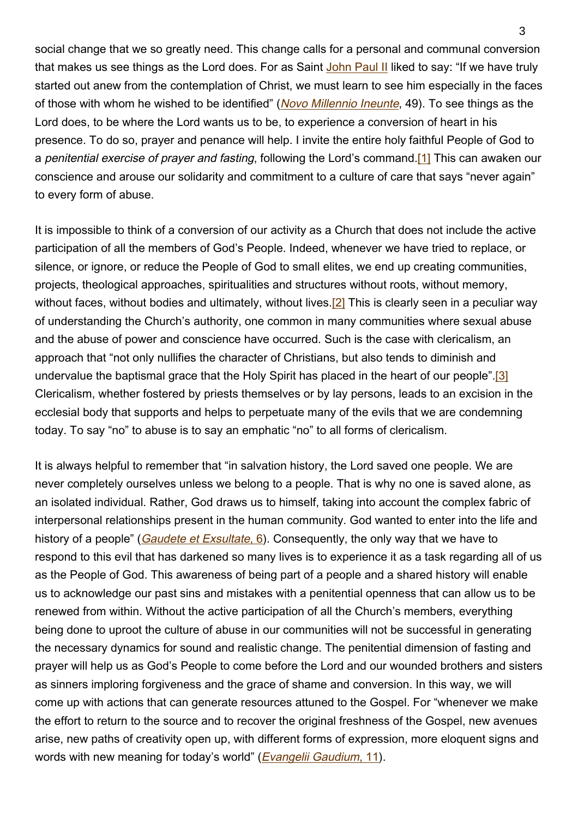social change that we so greatly need. This change calls for a personal and communal conversion that makes us see things as the Lord does. For as Saint [John Paul II](https://w2.vatican.va/content/john-paul-ii/en.html) liked to say: "If we have truly started out anew from the contemplation of Christ, we must learn to see him especially in the faces of those with whom he wished to be identified" ([Novo Millennio Ineunte](https://w2.vatican.va/content/john-paul-ii/en/apost_letters/2001/documents/hf_jp-ii_apl_20010106_novo-millennio-ineunte.html), 49). To see things as the Lord does, to be where the Lord wants us to be, to experience a conversion of heart in his presence. To do so, prayer and penance will help. I invite the entire holy faithful People of God to a penitential exercise of prayer and fasting, following the Lord's command.<sup>[1]</sup> This can awaken our conscience and arouse our solidarity and commitment to a culture of care that says "never again" to every form of abuse.

It is impossible to think of a conversion of our activity as a Church that does not include the active participation of all the members of God's People. Indeed, whenever we have tried to replace, or silence, or ignore, or reduce the People of God to small elites, we end up creating communities, projects, theological approaches, spiritualities and structures without roots, without memory, without faces, without bodies and ultimately, without lives.<sup>[2]</sup> This is clearly seen in a peculiar way of understanding the Church's authority, one common in many communities where sexual abuse and the abuse of power and conscience have occurred. Such is the case with clericalism, an approach that "not only nullifies the character of Christians, but also tends to diminish and undervalue the baptismal grace that the Holy Spirit has placed in the heart of our people".<sup>[3]</sup> Clericalism, whether fostered by priests themselves or by lay persons, leads to an excision in the ecclesial body that supports and helps to perpetuate many of the evils that we are condemning today. To say "no" to abuse is to say an emphatic "no" to all forms of clericalism.

It is always helpful to remember that "in salvation history, the Lord saved one people. We are never completely ourselves unless we belong to a people. That is why no one is saved alone, as an isolated individual. Rather, God draws us to himself, taking into account the complex fabric of interpersonal relationships present in the human community. God wanted to enter into the life and history of a people" (*Gaudete et Exsultate*[, 6\)](http://w2.vatican.va/content/francesco/en/apost_exhortations/documents/papa-francesco_esortazione-ap_20180319_gaudete-et-exsultate.html#THE_SAINTS_�NEXT_DOOR�). Consequently, the only way that we have to respond to this evil that has darkened so many lives is to experience it as a task regarding all of us as the People of God. This awareness of being part of a people and a shared history will enable us to acknowledge our past sins and mistakes with a penitential openness that can allow us to be renewed from within. Without the active participation of all the Church's members, everything being done to uproot the culture of abuse in our communities will not be successful in generating the necessary dynamics for sound and realistic change. The penitential dimension of fasting and prayer will help us as God's People to come before the Lord and our wounded brothers and sisters as sinners imploring forgiveness and the grace of shame and conversion. In this way, we will come up with actions that can generate resources attuned to the Gospel. For "whenever we make the effort to return to the source and to recover the original freshness of the Gospel, new avenues arise, new paths of creativity open up, with different forms of expression, more eloquent signs and words with new meaning for today's world" (*Evangelii Gaudium*[, 11\)](http://w2.vatican.va/content/francesco/en/apost_exhortations/documents/papa-francesco_esortazione-ap_20131124_evangelii-gaudium.html#Eternal_newness).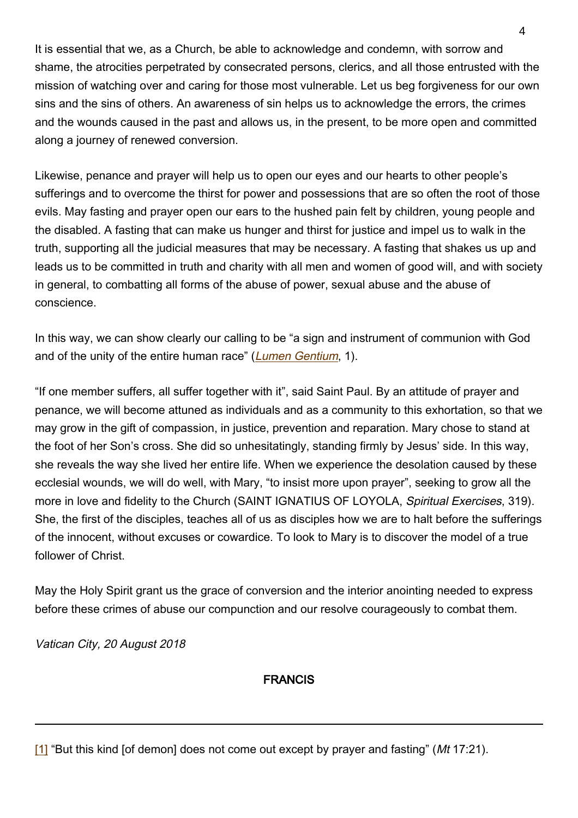It is essential that we, as a Church, be able to acknowledge and condemn, with sorrow and shame, the atrocities perpetrated by consecrated persons, clerics, and all those entrusted with the mission of watching over and caring for those most vulnerable. Let us beg forgiveness for our own sins and the sins of others. An awareness of sin helps us to acknowledge the errors, the crimes and the wounds caused in the past and allows us, in the present, to be more open and committed along a journey of renewed conversion.

Likewise, penance and prayer will help us to open our eyes and our hearts to other people's sufferings and to overcome the thirst for power and possessions that are so often the root of those evils. May fasting and prayer open our ears to the hushed pain felt by children, young people and the disabled. A fasting that can make us hunger and thirst for justice and impel us to walk in the truth, supporting all the judicial measures that may be necessary. A fasting that shakes us up and leads us to be committed in truth and charity with all men and women of good will, and with society in general, to combatting all forms of the abuse of power, sexual abuse and the abuse of conscience.

In this way, we can show clearly our calling to be "a sign and instrument of communion with God and of the unity of the entire human race" ([Lumen Gentium](http://www.vatican.va/archive/hist_councils/ii_vatican_council/documents/vat-ii_const_19641121_lumen-gentium_en.html), 1).

"If one member suffers, all suffer together with it", said Saint Paul. By an attitude of prayer and penance, we will become attuned as individuals and as a community to this exhortation, so that we may grow in the gift of compassion, in justice, prevention and reparation. Mary chose to stand at the foot of her Son's cross. She did so unhesitatingly, standing firmly by Jesus' side. In this way, she reveals the way she lived her entire life. When we experience the desolation caused by these ecclesial wounds, we will do well, with Mary, "to insist more upon prayer", seeking to grow all the more in love and fidelity to the Church (SAINT IGNATIUS OF LOYOLA, Spiritual Exercises, 319). She, the first of the disciples, teaches all of us as disciples how we are to halt before the sufferings of the innocent, without excuses or cowardice. To look to Mary is to discover the model of a true follower of Christ.

May the Holy Spirit grant us the grace of conversion and the interior anointing needed to express before these crimes of abuse our compunction and our resolve courageously to combat them.

Vatican City, 20 August 2018

## FRANCIS